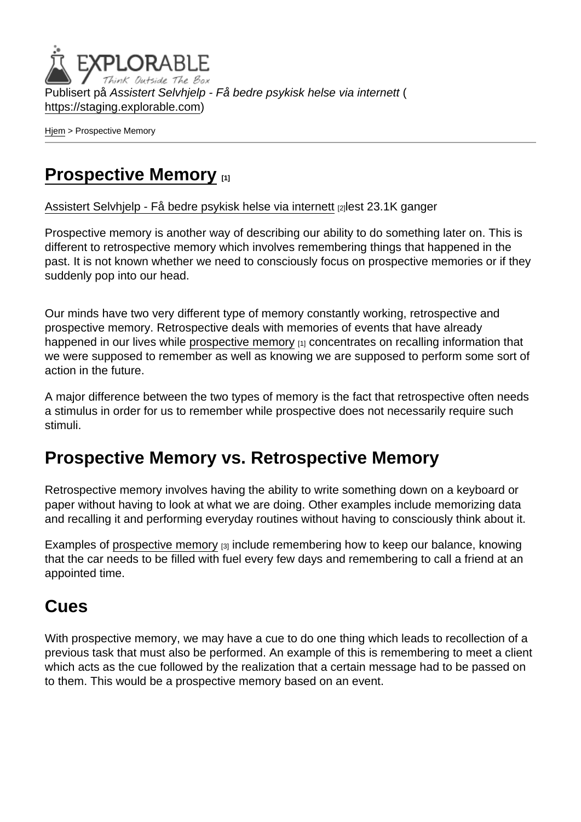Publisert på Assistert Selvhjelp - Få bedre psykisk helse via internett ( <https://staging.explorable.com>)

[Hjem](https://staging.explorable.com/) > Prospective Memory

# [Prospective Memory](https://staging.explorable.com/prospective-memory) [1]

[Assistert Selvhjelp - Få bedre psykisk helse via internett](https://staging.explorable.com/en) [2]lest 23.1K ganger

Prospective memory is another way of describing our ability to do something later on. This is different to retrospective memory which involves remembering things that happened in the past. It is not known whether we need to consciously focus on prospective memories or if they suddenly pop into our head.

Our minds have two very different type of memory constantly working, retrospective and prospective memory. Retrospective deals with memories of events that have already happened in our lives while [prospective memory](https://staging.explorable.com/prospective-memory)  $[1]$  concentrates on recalling information that we were supposed to remember as well as knowing we are supposed to perform some sort of action in the future.

A major difference between the two types of memory is the fact that retrospective often needs a stimulus in order for us to remember while prospective does not necessarily require such stimuli.

# Prospective Memory vs. Retrospective Memory

Retrospective memory involves having the ability to write something down on a keyboard or paper without having to look at what we are doing. Other examples include memorizing data and recalling it and performing everyday routines without having to consciously think about it.

Examples of [prospective memory](http://alexandria.tue.nl/extra2/200213729.pdf)  $[3]$  include remembering how to keep our balance, knowing that the car needs to be filled with fuel every few days and remembering to call a friend at an appointed time.

### Cues

With prospective memory, we may have a cue to do one thing which leads to recollection of a previous task that must also be performed. An example of this is remembering to meet a client which acts as the cue followed by the realization that a certain message had to be passed on to them. This would be a prospective memory based on an event.